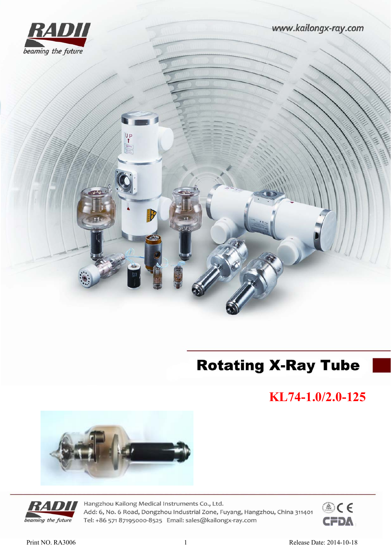



# **Rotating X-Ray Tube**

**KL74-1.0/2.0-125** 





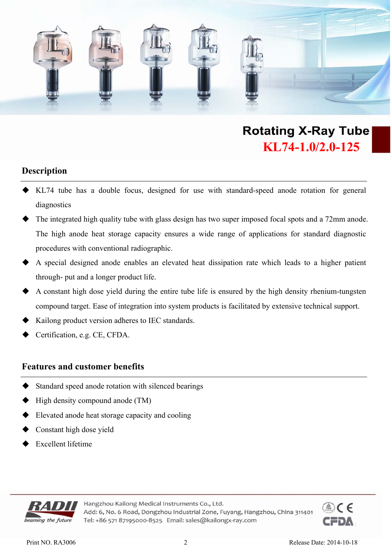

#### **Description**

- KL74 tube has a double focus, designed for use with standard-speed anode rotation for general diagnostics
- The integrated high quality tube with glass design has two super imposed focal spots and a 72mm anode. The high anode heat storage capacity ensures a wide range of applications for standard diagnostic procedures with conventional radiographic.
- A special designed anode enables an elevated heat dissipation rate which leads to a higher patient through- put and a longer product life.
- A constant high dose yield during the entire tube life is ensured by the high density rhenium-tungsten compound target. Ease of integration into system products is facilitated by extensive technical support.
- Kailong product version adheres to IEC standards.
- Certification, e.g. CE, CFDA.

#### **Features and customer benefits**

- Standard speed anode rotation with silenced bearings
- High density compound anode (TM)
- Elevated anode heat storage capacity and cooling
- Constant high dose yield
- Excellent lifetime



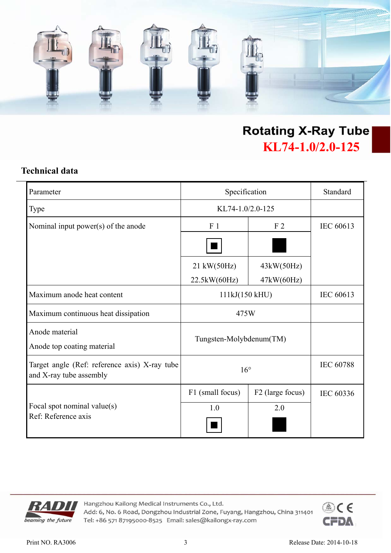

### **Technical data**

| Parameter                                                                | Specification           |                  | Standard         |
|--------------------------------------------------------------------------|-------------------------|------------------|------------------|
| <b>Type</b>                                                              | KL74-1.0/2.0-125        |                  |                  |
| Nominal input power(s) of the anode                                      | F <sub>1</sub>          | F <sub>2</sub>   | IEC 60613        |
|                                                                          |                         |                  |                  |
|                                                                          | 21 kW(50Hz)             | 43kW(50Hz)       |                  |
|                                                                          | 22.5kW(60Hz)            | 47kW(60Hz)       |                  |
| Maximum anode heat content                                               | 111kJ(150 kHU)          |                  | IEC 60613        |
| Maximum continuous heat dissipation                                      | 475W                    |                  |                  |
| Anode material<br>Anode top coating material                             | Tungsten-Molybdenum(TM) |                  |                  |
| Target angle (Ref: reference axis) X-ray tube<br>and X-ray tube assembly | $16^{\circ}$            |                  | <b>IEC 60788</b> |
|                                                                          | F1 (small focus)        | F2 (large focus) | IEC 60336        |
| Focal spot nominal value(s)                                              | 1.0                     | 2.0              |                  |
| Ref: Reference axis                                                      |                         |                  |                  |



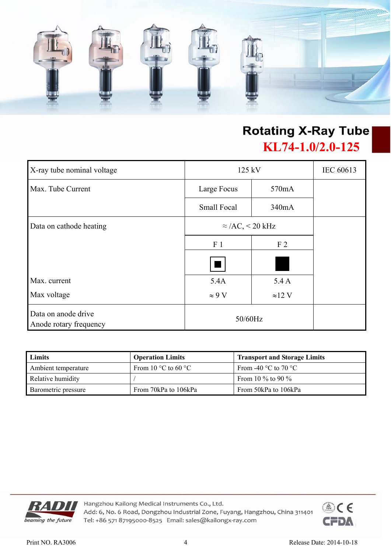

| X-ray tube nominal voltage                    | 125 kV                  |                | IEC 60613 |
|-----------------------------------------------|-------------------------|----------------|-----------|
| Max. Tube Current                             | Large Focus             | 570mA          |           |
|                                               | <b>Small Focal</b>      | 340mA          |           |
| Data on cathode heating                       | $\approx$ /AC, < 20 kHz |                |           |
|                                               | F <sub>1</sub>          | F <sub>2</sub> |           |
|                                               | ٠                       |                |           |
| Max. current                                  | 5.4A                    | 5.4A           |           |
| Max voltage                                   | $\approx 9 \text{ V}$   | $\approx$ 12 V |           |
| Data on anode drive<br>Anode rotary frequency | 50/60Hz                 |                |           |

| Limits              | <b>Operation Limits</b>               | <b>Transport and Storage Limits</b>    |
|---------------------|---------------------------------------|----------------------------------------|
| Ambient temperature | From 10 $\degree$ C to 60 $\degree$ C | From -40 $\degree$ C to 70 $\degree$ C |
| Relative humidity   |                                       | From 10 % to 90 %                      |
| Barometric pressure | From 70kPa to 106kPa                  | From 50kPa to 106kPa                   |



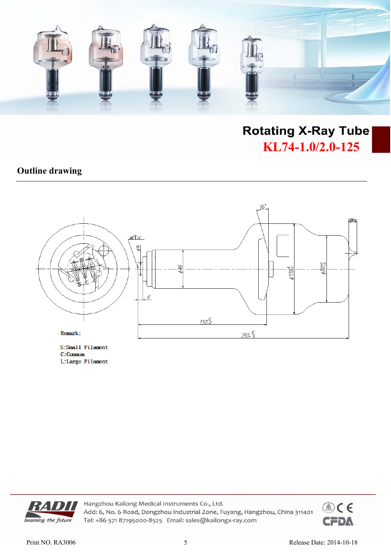

### **Outline drawing**



S:Small Filament C:Commom L:Large Filament



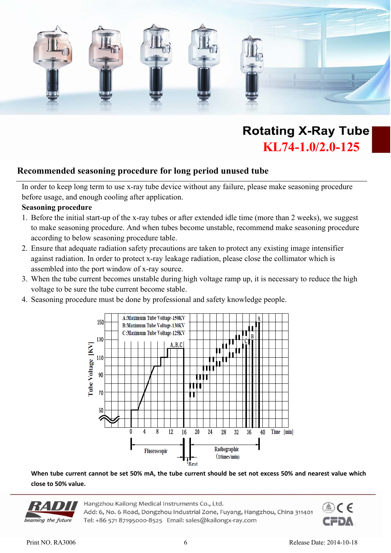

#### **Recommended seasoning procedure for long period unused tube**

In order to keep long term to use x-ray tube device without any failure, please make seasoning procedure before usage, and enough cooling after application.

#### **Seasoning procedure**

- 1. Before the initial start-up of the x-ray tubes or after extended idle time (more than 2 weeks), we suggest to make seasoning procedure. And when tubes become unstable, recommend make seasoning procedure according to below seasoning procedure table.
- 2. Ensure that adequate radiation safety precautions are taken to protect any existing image intensifier against radiation. In order to protect x-ray leakage radiation, please close the collimator which is assembled into the port window of x-ray source.
- 3. When the tube current becomes unstable during high voltage ramp up, it is necessary to reduce the high voltage to be sure the tube current become stable.
- 4. Seasoning procedure must be done by professional and safety knowledge people.



**When tube current cannot be set 50% mA, the tube current should be set not excess 50% and nearest value which close to 50% value.**



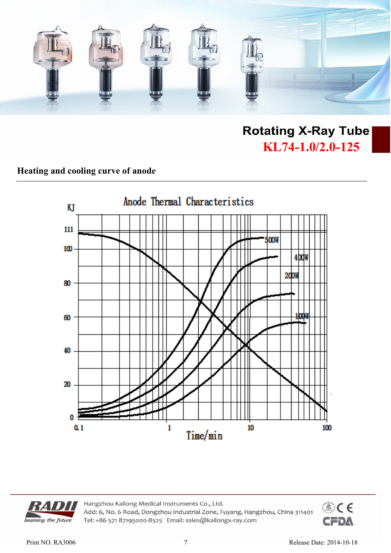

### **Heating and cooling curve of anode**





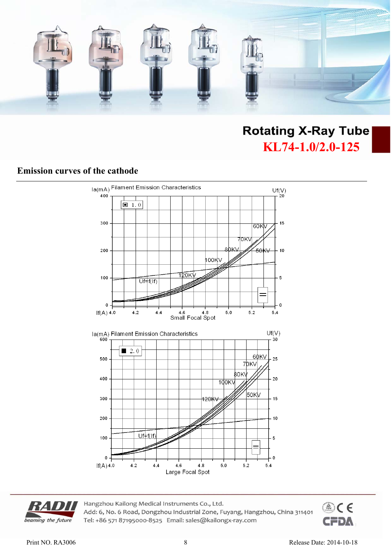

### **Emission curves of the cathode**





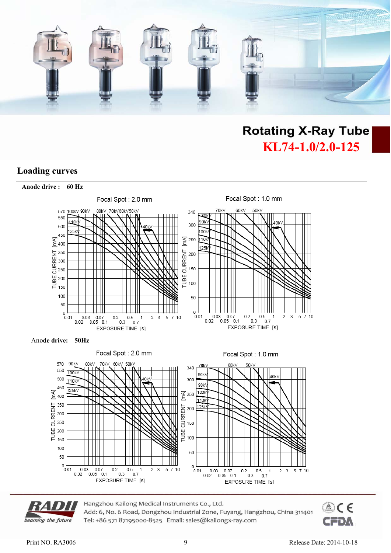

### **Loading curves**



Ano**de drive: 50Hz**





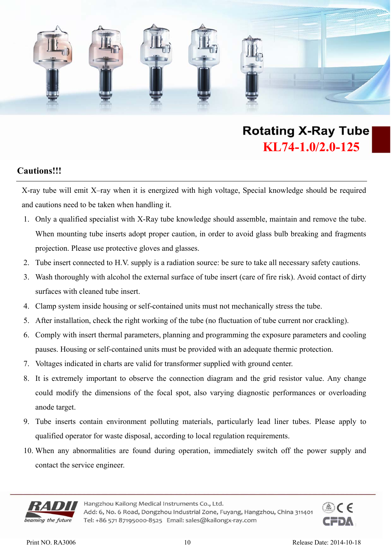

### **Cautions!!!**

X-ray tube will emit X–ray when it is energized with high voltage, Special knowledge should be required and cautions need to be taken when handling it.

- 1. Only a qualified specialist with X-Ray tube knowledge should assemble, maintain and remove the tube. When mounting tube inserts adopt proper caution, in order to avoid glass bulb breaking and fragments projection. Please use protective gloves and glasses.
- 2. Tube insert connected to H.V. supply is a radiation source: be sure to take all necessary safety cautions.
- 3. Wash thoroughly with alcohol the external surface of tube insert (care of fire risk). Avoid contact of dirty surfaces with cleaned tube insert.
- 4. Clamp system inside housing or self-contained units must not mechanically stress the tube.
- 5. After installation, check the right working of the tube (no fluctuation of tube current nor crackling).
- 6. Comply with insert thermal parameters, planning and programming the exposure parameters and cooling pauses. Housing or self-contained units must be provided with an adequate thermic protection.
- 7. Voltages indicated in charts are valid for transformer supplied with ground center.
- 8. It is extremely important to observe the connection diagram and the grid resistor value. Any change could modify the dimensions of the focal spot, also varying diagnostic performances or overloading anode target.
- 9. Tube inserts contain environment polluting materials, particularly lead liner tubes. Please apply to qualified operator for waste disposal, according to local regulation requirements.
- 10. When any abnormalities are found during operation, immediately switch off the power supply and contact the service engineer.



Hangzhou Kailong Medical Instruments Co., Ltd.